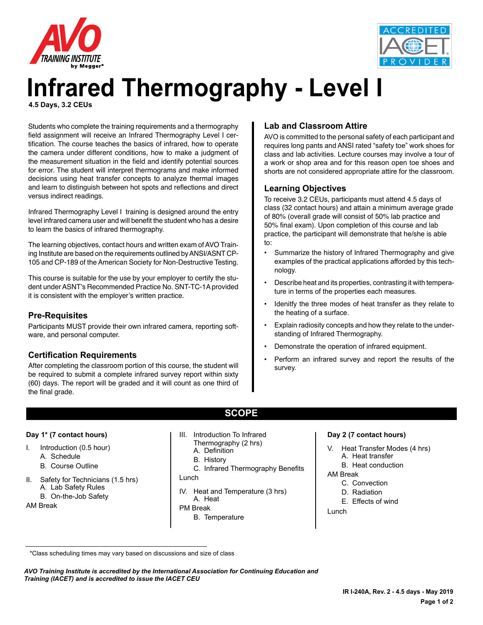



# **Infrared Thermography - Level I 4.5 Days, 3.2 CEUs**

Students who complete the training requirements and a thermography field assignment will receive an Infrared Thermography Level I certification. The course teaches the basics of infrared, how to operate the camera under different conditions, how to make a judgment of the measurement situation in the field and identify potential sources for error. The student will interpret thermograms and make informed decisions using heat transfer concepts to analyze thermal images and learn to distinguish between hot spots and reflections and direct versus indirect readings.

Infrared Thermography Level I training is designed around the entry level infrared camera user and will benefit the student who has a desire to learn the basics of infrared thermography.

The learning objectives, contact hours and written exam of AVO Training Institute are based on the requirements outlined by ANSI/ASNT CP-105 and CP-189 of the American Society for Non-Destructive Testing.

This course is suitable for the use by your employer to certify the student under ASNT's Recommended Practice No. SNT-TC-1A provided it is consistent with the employer's written practice.

## **Pre-Requisites**

Participants MUST provide their own infrared camera, reporting software, and personal computer.

## **Certification Requirements**

After completing the classroom portion of this course, the student will be required to submit a complete infrared survey report within sixty (60) days. The report will be graded and it will count as one third of the final grade.

# **Lab and Classroom Attire**

AVO is committed to the personal safety of each participant and requires long pants and ANSI rated "safety toe" work shoes for class and lab activities. Lecture courses may involve a tour of a work or shop area and for this reason open toe shoes and shorts are not considered appropriate attire for the classroom.

# **Learning Objectives**

To receive 3.2 CEUs, participants must attend 4.5 days of class (32 contact hours) and attain a minimum average grade of 80% (overall grade will consist of 50% lab practice and 50% final exam). Upon completion of this course and lab practice, the participant will demonstrate that he/she is able to:

- Summarize the history of Infrared Thermography and give examples of the practical applications afforded by this technology.
- Describe heat and its properties, contrasting it with temperature in terms of the properties each measures.
- Idenitfy the three modes of heat transfer as they relate to the heating of a surface.
- Explain radiosity concepts and how they relate to the understanding of Infrared Thermography.
- Demonstrate the operation of infrared equipment.
- Perform an infrared survey and report the results of the survey.

#### **Day 1\* (7 contact hours)**

- I. Introduction (0.5 hour)
	- A. Schedule
	- B. Course Outline
- II. Safety for Technicians (1.5 hrs) A. Lab Safety Rules B. On-the-Job Safety
- AM Break
- III. Introduction To Infrared Thermography (2 hrs) A. Definition
	- B. History
- C. Infrared Thermography Benefits

**SCOPE**

- Lunch
- IV. Heat and Temperature (3 hrs) A. Heat PM Break
- - B. Temperature

#### **Day 2 (7 contact hours)**

- V. Heat Transfer Modes (4 hrs) A. Heat transfer
	- B. Heat conduction

#### AM Break

- C. Convection
- D. Radiation
- E. Effects of wind
- Lunch

\*Class scheduling times may vary based on discussions and size of class

*AVO Training Institute is accredited by the International Association for Continuing Education and Training (IACET) and is accredited to issue the IACET CEU*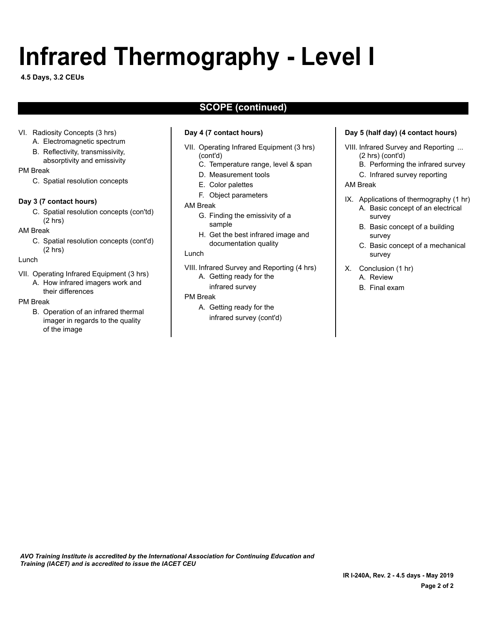# **Infrared Thermography - Level I**

**4.5 Days, 3.2 CEUs**

# **SCOPE (continued)**

#### VI. Radiosity Concepts (3 hrs)

- A. Electromagnetic spectrum B. Reflectivity, transmissivity,
- absorptivity and emissivity

#### PM Break

C. Spatial resolution concepts

#### **Day 3 (7 contact hours)**

C. Spatial resolution concepts (con'td) (2 hrs)

#### AM Break

C. Spatial resolution concepts (cont'd) (2 hrs)

#### Lunch

VII. Operating Infrared Equipment (3 hrs) A. How infrared imagers work and their differences

#### PM Break

B. Operation of an infrared thermal imager in regards to the quality of the image

#### **Day 4 (7 contact hours)**

- VII. Operating Infrared Equipment (3 hrs) (cont'd)
	- C. Temperature range, level & span
	- D. Measurement tools
	- E. Color palettes
	- F. Object parameters

#### AM Break

- G. Finding the emissivity of a sample
- H. Get the best infrared image and documentation quality

#### Lunch

- VIII. Infrared Survey and Reporting (4 hrs)
	- A. Getting ready for the
	- infrared survey

#### PM Break

A. Getting ready for the infrared survey (cont'd)

#### **Day 5 (half day) (4 contact hours)**

VIII. Infrared Survey and Reporting ... (2 hrs) (cont'd)

- B. Performing the infrared survey
- C. Infrared survey reporting

#### AM Break

- IX. Applications of thermography (1 hr) A. Basic concept of an electrical survey
	- B. Basic concept of a building survey
	- C. Basic concept of a mechanical survey
- X. Conclusion (1 hr) A. Review
	- B. Final exam